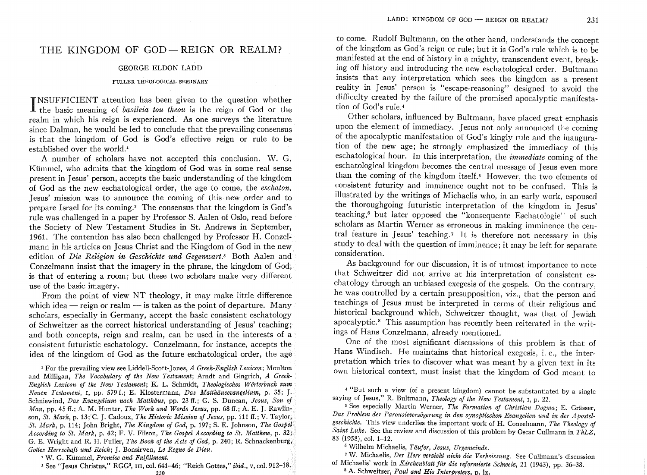## THE KINGDOM OF GOD-REIGN OR REALM?

## GEORGE ELDON LADD

## FULLER THEOLOGICAL SEMINARY

INSUFFICIENT attention has been given to the question whether<br>I the basic meaning of *basileia tou theou* is the reign of God or the NSUFFICIENT attention has been given to the question whether realm in which his reign is experienced. As one surveys the literature since Dalman, he would be led to conclude that the prevailing consensus is that the kingdom of God is God's effective reign or rule to be established over the world.<sup>1</sup>

A number of scholars have not accepted this conclusion. W. G. Kiimmel, who admits that the kingdom of God was in some real sense present in Jesus' person, accepts the basic understanding of the kingdom of God as the new eschatological order, the age to come, the *eschaton.*  Jesus' mission was to announce the coming of this new order and to prepare Israel for its coming.<sup>2</sup> The consensus that the kingdom is God's rule was challenged in a paper by Professor S. Aalen of Oslo, read before the Society of New Testament Studies in St. Andrews in September, 1961. The contention has also been challenged by Professor H. Conzelmann in his articles on Jesus Christ and the Kingdom of God in the new edition of *Die Religion in Geschichte und Gegenwart*.<sup>3</sup> Both Aalen and Conzelmann insist that the imagery in the phrase, the kingdom of God, is that of entering a room; but these two scholars make very different use of the basic imagery.

From the point of view NT theology, it may make little difference which idea  $-$  reign or realm  $-$  is taken as the point of departure. Many scholars, especially in Germany, accept the basic consistent eschatology of Schweitzer as the correct historical understanding of Jesus' teaching; and both concepts, reign and realm, can be used in the interests of a consistent futuristic eschatology. Conzelmann, for instance, accepts the idea of the kingdom of God as the future eschatological order, the age

<sup>I</sup>For the prevailing view see Liddell-Scott-Jones, *A Greek-English Lexicon;* Moulton and Milligan, *The Vocabulary of the New Testament;* Arndt and Gingrich, *A Greek-English Lexicon of the New Testament:* K. L. Schmidt, *Theologisches Wiirterbuch zum Neuen Testament,* I, pp. 579 L; E. Klostermann, *Das Matthiiusevangelium,* p. 35; J. Schniewind, *Das Evangelium nach Matthiius,* pp. 23 ff.; G. S. Duncan, *Jesus, Son of Man,* pp. 45 ff.; A. M. Hunter, *The Work and Words Jesus,* pp. 68 ff.; A. E. J. Rawlinson, *St. Mark,* p. 13;C. J. Cadoux, *The Historic Mission of Jesus,* pp. 111 ff.; V. Taylor, *St. Mark,* p. 114; John Bright, *The Kingdom of God,* p. 197; S. E. Johnson, *The Gospel According to St. Mark,* p. 42; F. V. Filson, *The Gospel According to St. Matthew,* p. 32: G. E. Wright and R. H. Fuller, *The Book of the Acts of God,* p. 240; R. Schnackenburg, *Gottes Herrschaft und Reich;* J. Bonsirven, *Le Regne de Dieu.* 

2 W. G. Kiimmel, *Promise and Fulfillment.* 

3 See "Jesus Christus," RGG3, III, col. 641-46; "Reich Gottes," *ibid.,* v, col. 912-18.  $230$ 

to come. Rudolf Bultmann, on the other hand, understands the concept of the kingdom as God's reign or rule; but it is God's rule which is to be manifested at the end of history in a mighty, transcendent event, breaking off history and introducing the new eschatological order. Bultmann insists that any interpretation which sees the kingdom as a present reality in Jesus' person is "escape-reasoning" designed to avoid the difficulty created by the failure of the promised apocalyptic manifestation of God's rule. <sup>4</sup>

Other scholars, influenced by Bultmann, have placed great emphasis upon the element of immediacy. Jesus not only announced the coming of the apocalyptic manifestation of God's kingly rule and the inauguration of the new age; he strongly emphasized the immediacy of this eschatological hour. In this interpretation, the *immediate* coming of the eschatological kingdom becomes the central message of Jesus even more than the coming of the kingdom itself.<sup>5</sup> However, the two elements of consistent futurity and imminence ought not to be confused. This is illustrated by the writings of Michaelis who, in an early work, espoused the thoroughgoing futuristic interpretation of the kingdom in Jesus' teaching,6 but later opposed the "konsequente Eschatologie" of such scholars as Martin Werner as erroneous in making imminence the central feature in Jesus' teaching.<sup>7</sup> It is therefore not necessary in this study to deal with the question of imminence; it may be left for separate consideration.

As background for our discussion, it is of utmost importance to note that Schweitzer did not arrive at his interpretation of consistent eschatology through an unbiased exegesis of the gospels. On the contrary, he was controlled by a certain presupposition, viz., that the person and teachings of Jesus must be interpreted in terms of their religious and historical background which, Schweitzer thought, was that of Jewish apocalyptic. 8 This assumption has recently been reiterated in the writings of Hans Conzelmann, already mentioned.

One of the most significant discussions of this problem is that of Hans Windisch. He maintains that historical exegesis, i. e., the interpretation which tries to discover what was meant by a given text in its own historical context, must insist that the kingdom of God meant to

4 "But such a view (of a present kingdom) cannot be substantiated by a single saying of Jesus," R. Bultmann, *Theology of the New Testament,* I, p. 22.

<sup>5</sup> See especially Martin Werner, *The Formation of Christian Dogma*; E. Grässer, Das Problem der Parousieverzögerung in den synoptischen Evangelien und in der Apostelgeschichte. This view underlies the important work of H. Conzelmann, *The Theology of Satnt Luke.* See the review and discussion of this problem by Oscar Cullmann in *ThLZ,*  83 (1958), col. 1-12.

6 Wilhelm Michaelis, *Taufer, Jesus, Urgemeinde.* 

7 W. Michaelis, *Der Herr verzieht nicht die Verheissung.* See Cullmann's discussion of Michaelis' work in *Kirchenblatt fur die reformierte Schweiz,* 21 (1943), pp. 36-38.

8 A. Schweitzer, *Paul and His Inter reters* . ix.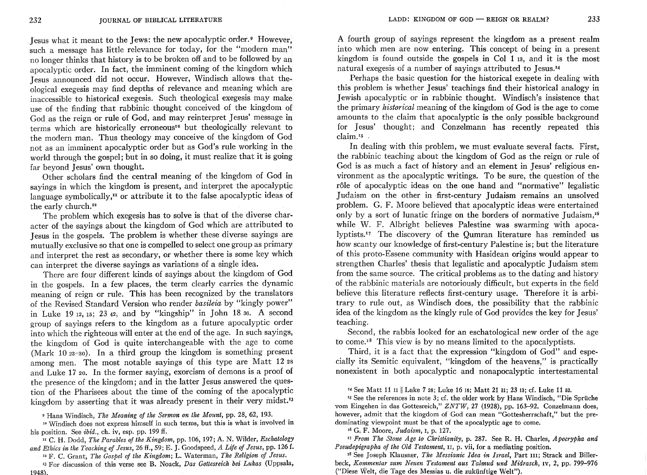Jesus what it meant to the Jews: the new apocalyptic order.<sup>9</sup> However. such a message has little relevance for today, for the "modern man" no longer thinks that history is to be broken off and to be followed by an apocalyptic order. In fact, the imminent coming of the kingdom which Jesus announced did not occur. However, Windisch allows that theological exegesis may find depths of relevance and meaning which are inaccessible to historical exegesis. Such theological exegesis may make use of the finding that rabbinic thought conceived of the kingdom of God as the reign or rule of God, and may reinterpret Jesus' message in terms which are historically erroneous<sup>10</sup> but theologically relevant to the modern man. Thus theology may conceive of the kingdom of God not as an imminent apocalyptic order but as God's rule working in the world through the gospel; but in so doing, it must realize that it is going far beyond Jesus' own thought.

Other scholars find the central meaning of the kingdom of God in sayings in which the kingdom is present, and interpret the apocalyptic language symbolically, $\mathbf{u}$  or attribute it to the false apocalyptic ideas of the early church.<sup>12</sup>

The problem which exegesis has to solve is that of the diverse character of the sayings about the kingdom of God which are attributed to Jesus in the gospels. The problem is whether these diverse sayings are mutually exclusive so that one is compelled to select one group as primary and interpret the rest as secondary, or whether there is some key which can interpret the diverse sayings as variations of a single idea.

There are four different kinds of sayings about the kingdom of God in the gospels. In a few places, the term clearly carries the dynamic meaning of reign or rule. This has been recognized by the translators of the Revised Standard Version who render *basileia* by "kingly power" in Luke 19 12, 15; 23 42, and by "kingship" in John 18 36. A second group of sayings refers to the kingdom as a future apocalyptic order into which the righteous will enter at the end of the age. In such sayings, the kingdom of God is quite interchangeable with the age to come (Mark 10 $23-30$ ). In a third group the kingdom is something present among men. The most notable sayings of this type are Matt 12 28 and Luke 17 20. In the former saying, exorcism of demons is a proof of the presence of the kingdom; and in the latter Jesus answered the question of the Pharisees about the time of the coming of the apocalyptic kingdom by asserting that it was already present in their very midst.<sup>13</sup>

9 Hans Windisch, *The Meaning of the Sermon on the Mount,* pp. 28, 62, 193.

10 Windisch does not express himself in such terms, but this is what is involved in his position. See *ibid.,* ch. iv, esp. pp. 199 ff.

II C. H. Dodd, *The Parables of the Kingdom,* pp. 106, 197; A. N. Wilder, *Eschatology and Ethics in the Teaching of Jesus,* 26 ff., 59; E. J. Goodspeed, *A Life of Jesus,* pp. 126 f.

12 F. C. Grant, *The Gospel of the Kingdom;* L. Waterman, *The Religion of Jesus.*  13 For discussion of this verse see B. Noack, *Das Gottesreich bei Lukas* (Uppsala,  $1948$ .

A fourth group of sayings represent the kingdom as a present realm into which men are now entering. This concept of being in a present kingdom is found outside the gospels in Col 1 13, and it is the most natural exegesis of a number of sayings attributed to Jesus.<sup>14</sup>

Perhaps the basic question for the historical exegete in dealing with this problem is whether Jesus' teachings find their historical analogy in Jewish apocalyptic or in rabbinic thought. Windisch's insistence that the primary *historical* meaning of the kingdom of God is the age to come amounts to the claim that apocalyptic is the only possible background for Jesus' thought; and Conzelmann has recently repeated this claim.<sup>15</sup>

In dealing with this problem, we must evaluate several facts. First, the rabbinic teaching about the kingdom of God as the reign or rule of God is as much a fact of history and an element in Jesus' religious environment as the apocalyptic writings. To be sure, the question of the rôle of apocalyptic ideas on the one hand and "normative" legalistic Judaism on the other in first-century Judaism remains an unsolved problem. G. F. Moore believed that apocalyptic ideas were entertained only by a sort of lunatic fringe on the borders of normative Judaism,<sup>16</sup> while W. F. Albright believes Palestine was swarming with apocalyptists.<sup>17</sup> The discovery of the Qumran literature has reminded us how scanty our knowledge of first-century Palestine is; but the literature of this proto-Essene community with Hasidean origins would appear to strengthen Charles' thesis that legalistic and apocalyptic Judaism stem from the same source. The critical problems as to the dating and history of the rabbinic materials are notoriously difficult, but experts in the field believe this literature reflects first-century usage. Therefore it is arbitrary to rule out, as Windisch does, the possibility that the rabbinic idea of the kingdom as the kingly rule of God provides the key for Jesus' teaching.

Second, the rabbis looked for an eschatological new order of the age to come.<sup>18</sup> This view is by no means limited to the apocalyptists.

Third, it is a fact that the expression "kingdom of God" and especially its Semitic equivalent, "kingdom of the heavens," is practically nonexistent in both apocalyptic and non apocalyptic intertestamental

<sup>15</sup> See the references in note 3; cf. the older work by Hans Windisch, "Die Sprüche vom Eingehen in das Gottesreich," *ZNTW,* 27 (1928), pp. 163-92. Conzelmann does, however, admit that the kingdom of God can mean "Gottesherrschaft," but the predominating viewpoint must be that of the apocalyptic age to come.

16 G. F. Moore, *Judaism,* I, p. 127.

<sup>17</sup>*From The Stone Age to Christianity,* p. 287. See R. H. Charles, *Apocrypha and Pseudepigrapha of the Old Testament,* II, p. vii, for a mediating position.

18 See Joseph Klausner, *The Messianic Idea in Israel,* Part III; Strack and Billerbeck, *Kommentar zum Neuen Testament aus Talmud und Midrasch,* IV, 2, pp. 799-976 ("Diese Welt, die Tage des Messias u. die zukünftige Welt").

<sup>&</sup>lt;sup>14</sup> See Matt 11 <sup>11</sup> Luke 7 28; Luke 16 16; Matt 21 31; 23 13; cf. Luke 11 52.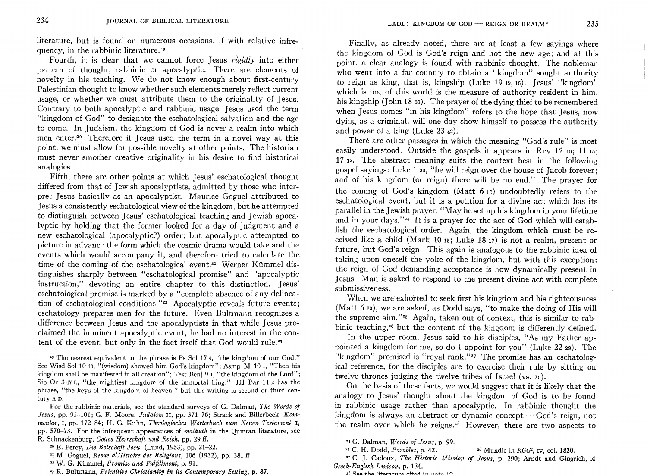literature, but is found on numerous occasions, if with relative infrequency, in the rabbinic literature.'9

Fourth, it is clear that we cannot force Jesus *rigidly* into either pattern of thought, rabbinic or apocalyptic. There are elements of novelty in his teaching. We do not know enough about first-century Palestinian thought to know whether such elements merely reflect current usage, or whether we must attribute them to the originality of Jesus. Contrary to both apocalyptic and rabbinic usage, Jesus used the term "kingdom of God" to designate the eschatological salvation and the age to come. In Judaism, the kingdom of God is never a realm into which men enter.<sup>20</sup> Therefore if Jesus used the term in a novel way at this point, we must allow for possible novelty at other points. The historian must never smother creative originality in his desire to find historical analogies.

Fifth, there are other points at which Jesus' eschatological thought differed from that of Jewish apocalyptists, admitted by those who interpret Jesus basically as an apocalyptist. Maurice Goguel attributed to Jesus a consistently eschatological view of the kingdom, but he attempted to distinguish between Jesus' eschatological teaching and Jewish apoca, lyptic by holding that the former looked for a day of judgment and a new eschatological (apocalyptic?) order; but apocalyptic attempted to picture in advance the form which the cosmic drama would take and the events which would accompany it, and therefore tried to calculate the time of the coming of the eschatological event.<sup>21</sup> Werner Kümmel distinguishes sharply between "eschatological promise" and "apocalyptic instruction," devoting an entire chapter to this distinction. Jesus' eschatological promise is marked by a "complete absence of any delineation of eschatological conditions."<sup>22</sup> Apocalyptic reveals future events; eschatology prepares men for the future. Even Bultmann recognizes a difference between Jesus and the apocalyptists in that while Jesus proclaimed the imminent apocalyptic event, he had no interest in the content of the event, but only in the fact itself that God would rule.'3

 $19$  The nearest equivalent to the phrase is Ps Sol 17 4, "the kingdom of our God." See Wisd Sol 10 10, "(wisdom) showed him God's kingdom"; Asmp M 10 1, "Then his kingdom shall be manifested in all creation"; Test Benj 9 1, "the kingdom of the Lord"; Sib Or 347 f., "the mightiest kingdom of the immortal king." III Bar 11 2 has the phrase, "the keys of the kingdom of heaven," but this writing is second or third century A.D.

For the rabbinic materials, see the standard surveys of G. Dalman, *The Words of Jesus,* pp. 91-101; G. F. Moore, *Judaism* II, pp. 371-76; Strack and Billerbeck, *Kommentar,* I, pp. 172-84; H. G. Kuhn, *Theologisches Worterbuch zum Neuen Testament,* I, pp. 570-73. For the infrequent appearances of *malkuth* in the Qumran literature, see R. Schnackenburg, *Gottes Herrschaft und Reich,* pp. 29 ff.

20 E. Percy, *Die Eotschaft Jesu,* (Lund, 1953), pp. 21-22.

2I M. Goguel, *Revue d'Histoire des Religions,* 106 (1932), pp. 381 ff.

22 W. G. Kiimmel, *Promise and Fulfillment,* p. 91.

<sup>23</sup>R. Bultmann, *Primitive Christianity in its Contemporary Setting,* p. 87.

Finally, as already noted, there are at least a few sayings where the kingdom of God is God's reign and not the new age; and at this point, a clear analogy is found with rabbinic thought. The nobleman who went into a far country to obtain a "kingdom" sought authority to reign as king, that is, kingship (Luke 1912,15). Jesus' "kingdom" which is not of this world is the measure of authority resident in him, his kingship (John 18 36). The prayer of the dying thief to be remembered when Jesus comes "in his kingdom" refers to the hope that Jesus, now dying as a criminal, will one day show himself to possess the authority and power of a king (Luke 23 42).

There are other passages in which the meaning "God's rule" is most easily understood. Outside the gospels it appears in Rev 12 10; 11 15; 17 12. The abstract meaning suits the context best in the following gospel sayings: Luke 1 33, "he will reign over the house of Jacob forever; and of his kingdom (or reign) there will be no end." The prayer for the coming of God's kingdom (Matt 610) undoubtedly refers to the eschatological event, but it is a petition for a divine act which has its parallel in the Jewish prayer, "May he set up his kingdom in your lifetime and in your days."<sup>24</sup> It is a prayer for the act of God which will establish the eschatological order. Again, the kingdom which must be received like a child (Mark 10  $15$ ; Luke 18 $17$ ) is not a realm, present or future, but God's reign. This again is analogous to the rabbinic idea of taking upon oneself the yoke of the kingdom, but with this exception: the reign of God demanding acceptance is now dynamically present in Jesus. Man is asked to respond to the present divine act with complete submissiveness.

When we are exhorted to seek first his kingdom and his righteousness (Matt 6 33), we are asked, as Dodd says, "to make the doing of His will the supreme aim."'s Again, taken out of context, this is similar to rabbinic teaching,<sup>36</sup> but the content of the kingdom is differently defined.

In the upper room, Jesus said to his disciples, "As my Father appointed a kingdom for me, so do I appoint for you" (Luke 22 29). The "kingdom" promised is "royal rank."<sup>27</sup> The promise has an eschatological reference, for the disciples are to exercise their rule by sitting on twelve thrones judging the twelve tribes of Israel (vs. 30).

On the basis of these facts, we would suggest that it is likely that the analogy to Jesus' thought about the kingdom of God is to be found in rabbinic usage rather than apocalyptic. In rabbinic thought the kingdom is always an abstract or dynamic concept  $-$  God's reign, not the realm over which he reigns.<sup>28</sup> However, there are two aspects to

24 G. Dalman, *Words of Jesus,* p. 99.

25 C. H. Dodd, *Parables,* p. 42. 26 MundIe in *RGG2,* IV, col. 1820.

<sup>27</sup>C. J. Cadoux, *The Historic Mission of Jesus,* p. 290; Arndt and Gingrich, *A Greek-English Lexicon,* p. 134.

**28 c;:,t::I.o. i-ho.** l~""'o""""""'n .. .." .... ~-I-.n......1 **! ............ "'+ .... 1 n**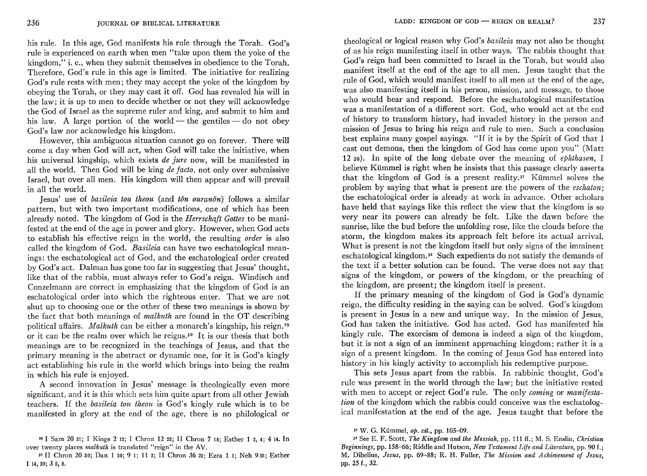his rule. In this age, God manifests his rule through the Torah. God's rule is experienced on earth when men "take upon them the yoke of the kingdom," i. e., when they submit themselves in obedience to the Torah. Therefore, God's rule in this age is limited. The initiative for realizing God's rule rests with men; they may accept the yoke of the kingdom by obeying the Torah, or they may cast it off. God has revealed his will in the law; it is up to men to decide whether or not they will acknowledge the God of Israel as the supreme ruler and king, and submit to him and his law. A large portion of the world — the gentiles — do not obey God's law nor acknowledge his kingdom.

However, this ambiguous situation cannot go on forever. There will come a day when God will act, when God will take the initiative, when his universal kingship, which exists *de jure* now, will be manifested in all the world. Then God will be king *de facto,* not only over submissive Israel, but over all men. His kingdom will then appear and will prevail in all the world.

Jesus' use of *basileia tau theou* (and *ton ouranon)* follows a similar pattern, but with two important modifications, one of which has been already noted. The kingdom of God is the *Herrschaft Gottes* to be manifested at the end of the age in power and glory. However, when God acts to establish his effective reign in the world, the resulting *order* is also called the kingdom of God. *Basileia* can have two eschatological meanings: the eschatological act of God, and the eschatological order created by God's act. Dalman has gone too far in suggesting that Jesus' thought, like that of the rabbis, must always refer to God's reign. Windisch and Conzelmann are correct in emphasizing that the kingdom of God is an eschatological order into which the righteous enter. That we are not shut up to choosing one or the other of these two meanings is shown by the fact that both meanings of *malkuth* are found in the OT describing political affairs. *Malkuth* can be either a monarch's kingship, his reign,29 or it can be the realm over which he reigns.3• It is our thesis that both meanings are to be recognized in the teachings of Jesus, and that the primary meaning is the abstract or dynamic one, for it is God's kingly act establishing his rule in the world which brings into being the realm in which his rule is enjoyed.

A second innovation in Jesus' message is theologically even more significant, and it is this which sets him quite apart from all other Jewish teachers. If the *basileia tau theou* is God's kingly rule which is to be manifested in glory at the end of the age, there is no philological or

theological or logical reason why God's *basileia* may not also be thought of as his reign manifesting itself in other ways. The rabbis thought that God's reign had been committed to Israel in the Torah, but would also manifest itself at the end of the age to all men. Jesus taught that the rule of God, which would manifest itself to all men at the end of the age, was also manifesting itself in his person, mission, and message, to those who would hear and respond. Before the eschatological manifestation was a manifestation of a different sort. God, who would act at the end of history to transform history, had invaded history in the person and mission of Jesus to bring his reign and rule to men. Such a conclusion best explains many gospel sayings. "If it is by the Spirit of God that I cast out demons, then the kingdom of God has come upon you" (Matt 12 28). In spite of the long debate over the meaning of *ephthasen,* I believe Kummel is right when he insists that this passage clearly asserts that the kingdom of God is a present reality. $3<sup>x</sup>$  Kümmel solves the problem by saying that what is present are the powers of the *eschaton;*  the eschatological order is already at work in advance. Other scholars have held that sayings like this reflect the view that the kingdom is so very near its powers can already be felt. Like the dawn before the sunrise, like the bud before the unfolding rose, like the clouds before the storm, the kingdom makes its approach felt before its actual arrival. What is present is not the kingdom itself but only signs of the imminent eschatological kingdom.3• Such expedients do not satisfy the demands of the text if a better solution can be found. The verse does not say that signs of the kingdom, or powers of the kingdom, or the preaching of the kingdom, are present; the kingdom itself is present.

If the primary meaning of the kingdom of God is God's dynamic reign, the difficulty residing in the saying can be solved. God's kingdom is present in Jesus in a new and unique way. In the mission of Jesus, God has taken the initiative. God has acted. God has manifested his kingly rule. The exorcism of demons is indeed a sign of the kingdom, but it is not a sign of an imminent approaching kingdom; rather it is a sign of a present kingdom. In the coming of Jesus God has entered into history in his kingly activity to accomplish his redemptive purpose.

This sets Jesus apart from the rabbis. In rabbinic thought, God's rule was present in the world through the law; but the initiative rested with men to accept or reject God's rule. The only *coming* or *manifestation* of the kingdom which the rabbis could conceive was the eschatological manifestation at the end of the age. Jesus taught that before the

<sup>&#</sup>x27;9 I Sam 20 31; I Kings 2 12; I Chron 12 23; II Chron 7 18; Esther 1 2, 4; 414. In over twenty places *malkuth* is translated "reign" in the AV.

<sup>30</sup> II Chron 2030; Dan 120; 9 1; 11 2; II Chron 36 22j Ezra 11; Neh 935; Esther 114,20; 3 6, 8.

<sup>31</sup> W. G. Kiimmel, *op. cit.,* pp. 105-09.

<sup>3&#</sup>x27; See E. F. Scott, *The Kingdom and the Messiah,* pp. 111 ff.; M. S. Enslin, *Christian Beginnings,* pp. 158-66; Riddle and Hutson, *New Testament Life and Literature,* pp. 90 f.; M. Dibelius, *Jesus,* pp. 69-88; R. H. Fuller, *The Mission and Achievement of Jesus,*  pp. 25 f., 32.